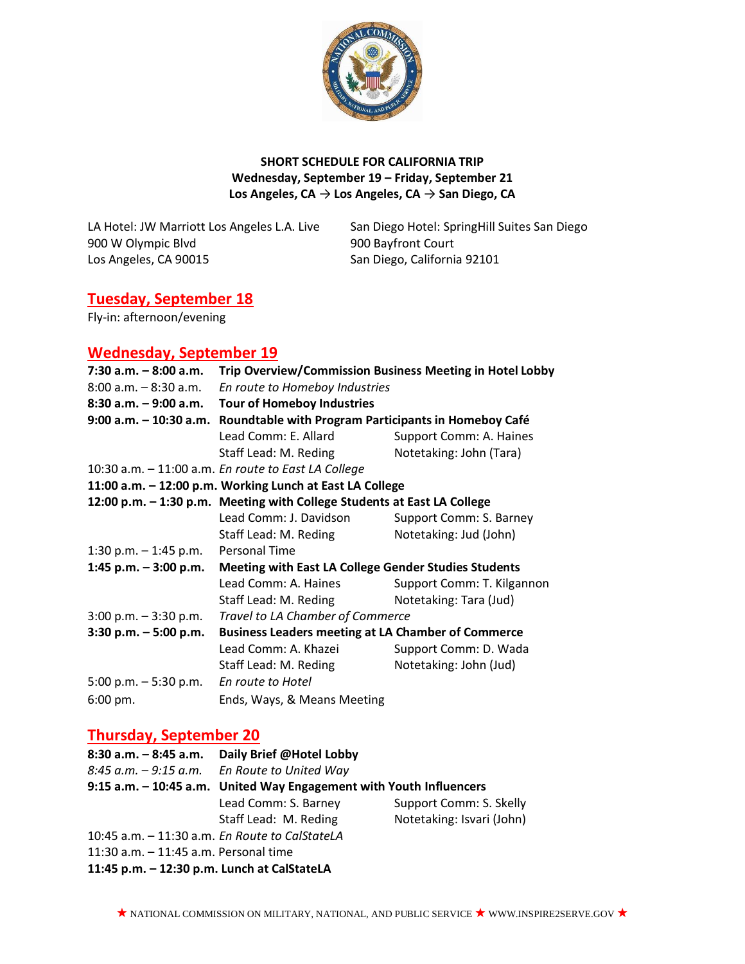

#### **SHORT SCHEDULE FOR CALIFORNIA TRIP Wednesday, September 19 – Friday, September 21 Los Angeles, CA** → **Los Angeles, CA** → **San Diego, CA**

900 W Olympic Blvd 900 Bayfront Court Los Angeles, CA 90015 San Diego, California 92101

LA Hotel: JW Marriott Los Angeles L.A. Live San Diego Hotel: SpringHill Suites San Diego

# **Tuesday, September 18**

Fly-in: afternoon/evening

## **Wednesday, September 19**

| $7:30$ a.m. $-8:00$ a.m.                                 | Trip Overview/Commission Business Meeting in Hotel Lobby                |                            |  |  |
|----------------------------------------------------------|-------------------------------------------------------------------------|----------------------------|--|--|
| $8:00$ a.m. $-8:30$ a.m.                                 | En route to Homeboy Industries                                          |                            |  |  |
|                                                          | 8:30 a.m. - 9:00 a.m. Tour of Homeboy Industries                        |                            |  |  |
| $9:00$ a.m. $-10:30$ a.m.                                | Roundtable with Program Participants in Homeboy Café                    |                            |  |  |
|                                                          | Lead Comm: E. Allard                                                    | Support Comm: A. Haines    |  |  |
|                                                          | Staff Lead: M. Reding                                                   | Notetaking: John (Tara)    |  |  |
|                                                          | 10:30 a.m. - 11:00 a.m. En route to East LA College                     |                            |  |  |
| 11:00 a.m. - 12:00 p.m. Working Lunch at East LA College |                                                                         |                            |  |  |
|                                                          | 12:00 p.m. - 1:30 p.m. Meeting with College Students at East LA College |                            |  |  |
|                                                          | Lead Comm: J. Davidson                                                  | Support Comm: S. Barney    |  |  |
|                                                          | Staff Lead: M. Reding                                                   | Notetaking: Jud (John)     |  |  |
| 1:30 p.m. $-$ 1:45 p.m. Personal Time                    |                                                                         |                            |  |  |
| 1:45 p.m. $-$ 3:00 p.m.                                  | <b>Meeting with East LA College Gender Studies Students</b>             |                            |  |  |
|                                                          | Lead Comm: A. Haines                                                    | Support Comm: T. Kilgannon |  |  |
|                                                          | Staff Lead: M. Reding                                                   | Notetaking: Tara (Jud)     |  |  |
| $3:00$ p.m. $-3:30$ p.m.                                 | Travel to LA Chamber of Commerce                                        |                            |  |  |
| $3:30$ p.m. $-5:00$ p.m.                                 | <b>Business Leaders meeting at LA Chamber of Commerce</b>               |                            |  |  |
|                                                          | Lead Comm: A. Khazei                                                    | Support Comm: D. Wada      |  |  |
|                                                          | Staff Lead: M. Reding                                                   | Notetaking: John (Jud)     |  |  |
| 5:00 p.m. $-5:30$ p.m.                                   | En route to Hotel                                                       |                            |  |  |
| 6:00 pm.                                                 | Ends, Ways, & Means Meeting                                             |                            |  |  |

### **Thursday, September 20**

| $8:30$ a.m. $-8:45$ a.m.                         | Daily Brief @Hotel Lobby                                            |                           |  |
|--------------------------------------------------|---------------------------------------------------------------------|---------------------------|--|
|                                                  | $8:45$ a.m. $-9:15$ a.m. En Route to United Way                     |                           |  |
|                                                  | 9:15 a.m. - 10:45 a.m. United Way Engagement with Youth Influencers |                           |  |
|                                                  | Lead Comm: S. Barney                                                | Support Comm: S. Skelly   |  |
|                                                  | Staff Lead: M. Reding                                               | Notetaking: Isvari (John) |  |
| 10:45 a.m. $-$ 11:30 a.m. En Route to CalStateLA |                                                                     |                           |  |
| 11:30 a.m. - 11:45 a.m. Personal time            |                                                                     |                           |  |
| 11:45 p.m. - 12:30 p.m. Lunch at CalStateLA      |                                                                     |                           |  |